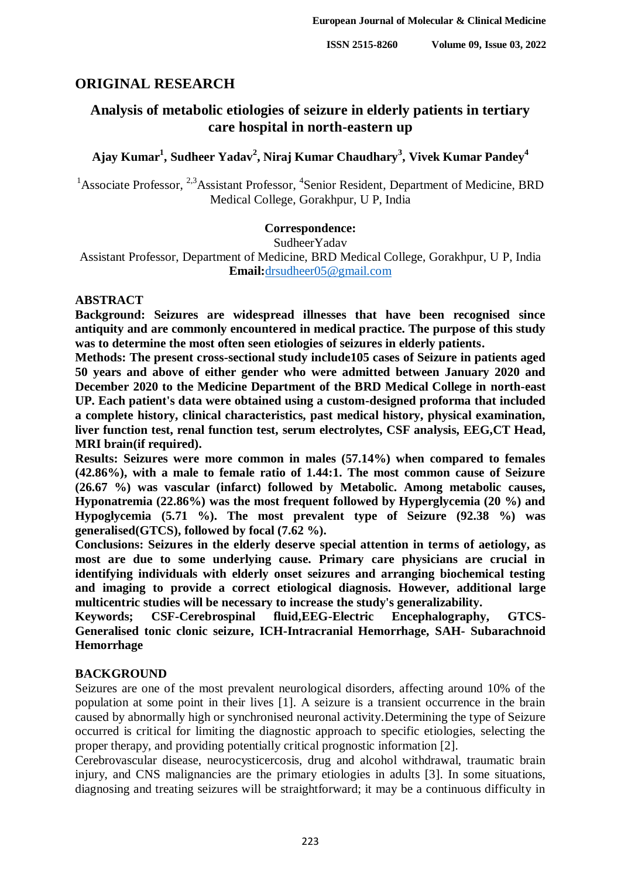# **ORIGINAL RESEARCH**

# **Analysis of metabolic etiologies of seizure in elderly patients in tertiary care hospital in north-eastern up**

# **Ajay Kumar<sup>1</sup> , Sudheer Yadav<sup>2</sup> , Niraj Kumar Chaudhary<sup>3</sup> , Vivek Kumar Pandey<sup>4</sup>**

<sup>1</sup> Associate Professor, <sup>2,3</sup> Assistant Professor, <sup>4</sup> Senior Resident, Department of Medicine, BRD Medical College, Gorakhpur, U P, India

## **Correspondence:**

SudheerYadav Assistant Professor, Department of Medicine, BRD Medical College, Gorakhpur, U P, India **Email:**[drsudheer05@gmail.com](mailto:drsudheer05@gmail.com)

#### **ABSTRACT**

**Background: Seizures are widespread illnesses that have been recognised since antiquity and are commonly encountered in medical practice. The purpose of this study was to determine the most often seen etiologies of seizures in elderly patients.**

**Methods: The present cross-sectional study include105 cases of Seizure in patients aged 50 years and above of either gender who were admitted between January 2020 and December 2020 to the Medicine Department of the BRD Medical College in north-east UP. Each patient's data were obtained using a custom-designed proforma that included a complete history, clinical characteristics, past medical history, physical examination, liver function test, renal function test, serum electrolytes, CSF analysis, EEG,CT Head, MRI brain(if required).**

**Results: Seizures were more common in males (57.14%) when compared to females (42.86%), with a male to female ratio of 1.44:1. The most common cause of Seizure (26.67 %) was vascular (infarct) followed by Metabolic. Among metabolic causes, Hyponatremia (22.86%) was the most frequent followed by Hyperglycemia (20 %) and Hypoglycemia (5.71 %). The most prevalent type of Seizure (92.38 %) was generalised(GTCS), followed by focal (7.62 %).** 

**Conclusions: Seizures in the elderly deserve special attention in terms of aetiology, as most are due to some underlying cause. Primary care physicians are crucial in identifying individuals with elderly onset seizures and arranging biochemical testing and imaging to provide a correct etiological diagnosis. However, additional large multicentric studies will be necessary to increase the study's generalizability.**

**Keywords; CSF-Cerebrospinal fluid,EEG-Electric Encephalography, GTCS-Generalised tonic clonic seizure, ICH-Intracranial Hemorrhage, SAH- Subarachnoid Hemorrhage**

## **BACKGROUND**

Seizures are one of the most prevalent neurological disorders, affecting around 10% of the population at some point in their lives [1]. A seizure is a transient occurrence in the brain caused by abnormally high or synchronised neuronal activity.Determining the type of Seizure occurred is critical for limiting the diagnostic approach to specific etiologies, selecting the proper therapy, and providing potentially critical prognostic information [2].

Cerebrovascular disease, neurocysticercosis, drug and alcohol withdrawal, traumatic brain injury, and CNS malignancies are the primary etiologies in adults [3]. In some situations, diagnosing and treating seizures will be straightforward; it may be a continuous difficulty in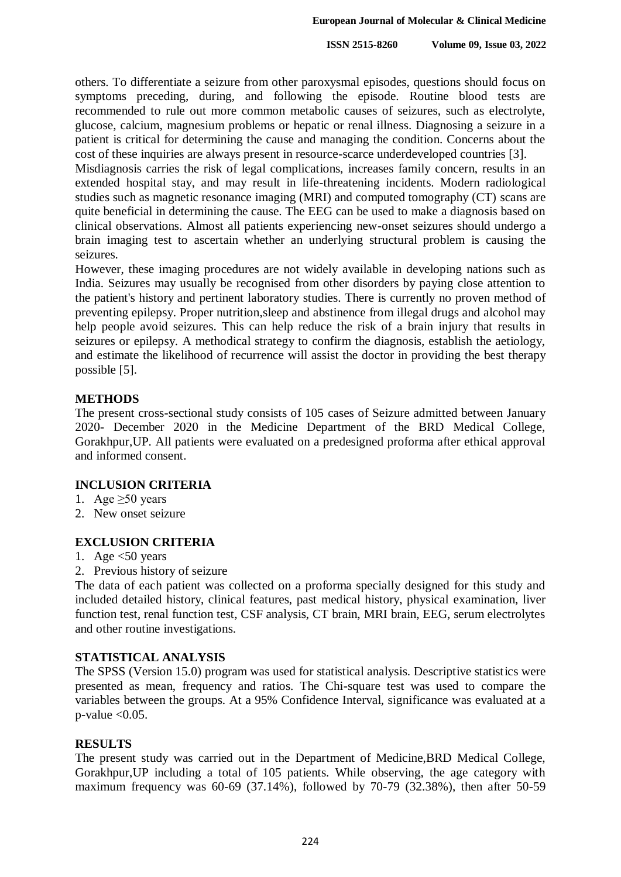others. To differentiate a seizure from other paroxysmal episodes, questions should focus on symptoms preceding, during, and following the episode. Routine blood tests are recommended to rule out more common metabolic causes of seizures, such as electrolyte, glucose, calcium, magnesium problems or hepatic or renal illness. Diagnosing a seizure in a patient is critical for determining the cause and managing the condition. Concerns about the cost of these inquiries are always present in resource-scarce underdeveloped countries [3].

Misdiagnosis carries the risk of legal complications, increases family concern, results in an extended hospital stay, and may result in life-threatening incidents. Modern radiological studies such as magnetic resonance imaging (MRI) and computed tomography (CT) scans are quite beneficial in determining the cause. The EEG can be used to make a diagnosis based on clinical observations. Almost all patients experiencing new-onset seizures should undergo a brain imaging test to ascertain whether an underlying structural problem is causing the seizures.

However, these imaging procedures are not widely available in developing nations such as India. Seizures may usually be recognised from other disorders by paying close attention to the patient's history and pertinent laboratory studies. There is currently no proven method of preventing epilepsy. Proper nutrition,sleep and abstinence from illegal drugs and alcohol may help people avoid seizures. This can help reduce the risk of a brain injury that results in seizures or epilepsy. A methodical strategy to confirm the diagnosis, establish the aetiology, and estimate the likelihood of recurrence will assist the doctor in providing the best therapy possible [5].

## **METHODS**

The present cross-sectional study consists of 105 cases of Seizure admitted between January 2020- December 2020 in the Medicine Department of the BRD Medical College, Gorakhpur,UP. All patients were evaluated on a predesigned proforma after ethical approval and informed consent.

## **INCLUSION CRITERIA**

- 1. Age  $>50$  years
- 2. New onset seizure

## **EXCLUSION CRITERIA**

- 1. Age  $<$  50 years
- 2. Previous history of seizure

The data of each patient was collected on a proforma specially designed for this study and included detailed history, clinical features, past medical history, physical examination, liver function test, renal function test, CSF analysis, CT brain, MRI brain, EEG, serum electrolytes and other routine investigations.

## **STATISTICAL ANALYSIS**

The SPSS (Version 15.0) program was used for statistical analysis. Descriptive statistics were presented as mean, frequency and ratios. The Chi-square test was used to compare the variables between the groups. At a 95% Confidence Interval, significance was evaluated at a  $p$ -value  $< 0.05$ .

## **RESULTS**

The present study was carried out in the Department of Medicine,BRD Medical College, Gorakhpur,UP including a total of 105 patients. While observing, the age category with maximum frequency was 60-69 (37.14%), followed by 70-79 (32.38%), then after 50-59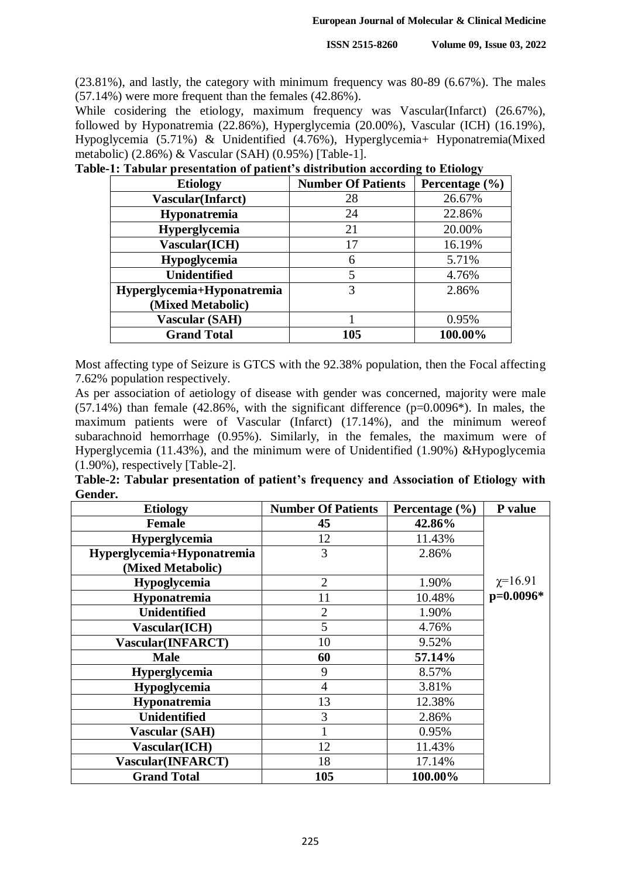(23.81%), and lastly, the category with minimum frequency was 80-89 (6.67%). The males (57.14%) were more frequent than the females (42.86%).

While cosidering the etiology, maximum frequency was Vascular(Infarct) (26.67%), followed by Hyponatremia (22.86%), Hyperglycemia (20.00%), Vascular (ICH) (16.19%), Hypoglycemia (5.71%) & Unidentified (4.76%), Hyperglycemia+ Hyponatremia(Mixed metabolic) (2.86%) & Vascular (SAH) (0.95%) [Table-1].

| <b>Etiology</b>            | <b>Number Of Patients</b> | Percentage $(\% )$ |
|----------------------------|---------------------------|--------------------|
| <b>Vascular</b> (Infarct)  | 28                        | 26.67%             |
| Hyponatremia               | 24                        | 22.86%             |
| Hyperglycemia              | 21                        | 20.00%             |
| Vascular(ICH)              | 17                        | 16.19%             |
| Hypoglycemia               | 6                         | 5.71%              |
| <b>Unidentified</b>        | 5                         | 4.76%              |
| Hyperglycemia+Hyponatremia | 3                         | 2.86%              |
| (Mixed Metabolic)          |                           |                    |
| Vascular (SAH)             |                           | 0.95%              |
| <b>Grand Total</b>         | 105                       | 100.00%            |

|  | Table-1: Tabular presentation of patient's distribution according to Etiology |  |  |  |  |
|--|-------------------------------------------------------------------------------|--|--|--|--|
|  |                                                                               |  |  |  |  |

Most affecting type of Seizure is GTCS with the 92.38% population, then the Focal affecting 7.62% population respectively.

As per association of aetiology of disease with gender was concerned, majority were male  $(57.14\%)$  than female  $(42.86\%$ , with the significant difference  $(p=0.0096*)$ . In males, the maximum patients were of Vascular (Infarct) (17.14%), and the minimum wereof subarachnoid hemorrhage (0.95%). Similarly, in the females, the maximum were of Hyperglycemia (11.43%), and the minimum were of Unidentified (1.90%) &Hypoglycemia (1.90%), respectively [Table-2].

|         | Table-2: Tabular presentation of patient's frequency and Association of Etiology with |  |  |  |  |
|---------|---------------------------------------------------------------------------------------|--|--|--|--|
| Gender. |                                                                                       |  |  |  |  |

| <b>Etiology</b>            | <b>Number Of Patients</b> | Percentage $(\% )$ | P value      |
|----------------------------|---------------------------|--------------------|--------------|
| <b>Female</b>              | 45                        | 42.86%             |              |
| Hyperglycemia              | 12                        | 11.43%             |              |
| Hyperglycemia+Hyponatremia | 3                         | 2.86%              |              |
| (Mixed Metabolic)          |                           |                    |              |
| Hypoglycemia               | $\overline{2}$            | 1.90%              | $\chi=16.91$ |
| Hyponatremia               | 11                        | 10.48%             | $p=0.0096*$  |
| <b>Unidentified</b>        | $\overline{2}$            | 1.90%              |              |
| Vascular(ICH)              | 5                         | 4.76%              |              |
| <b>Vascular(INFARCT)</b>   | 10                        | 9.52%              |              |
| <b>Male</b>                | 60                        | 57.14%             |              |
| <b>Hyperglycemia</b>       | 9                         | 8.57%              |              |
| Hypoglycemia               | $\overline{4}$            | 3.81%              |              |
| Hyponatremia               | 13                        | 12.38%             |              |
| <b>Unidentified</b>        | 3                         | 2.86%              |              |
| <b>Vascular (SAH)</b>      |                           | 0.95%              |              |
| Vascular(ICH)              | 12                        | 11.43%             |              |
| Vascular(INFARCT)          | 18                        | 17.14%             |              |
| <b>Grand Total</b>         | 105                       | 100.00%            |              |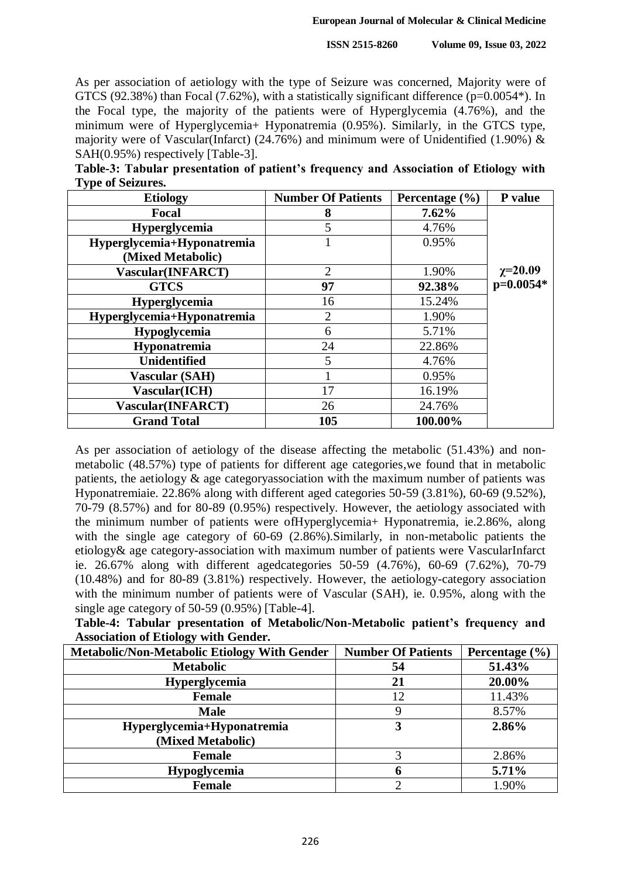As per association of aetiology with the type of Seizure was concerned, Majority were of GTCS (92.38%) than Focal (7.62%), with a statistically significant difference ( $p=0.0054$ <sup>\*</sup>). In the Focal type, the majority of the patients were of Hyperglycemia (4.76%), and the minimum were of Hyperglycemia+ Hyponatremia (0.95%). Similarly, in the GTCS type, majority were of Vascular(Infarct) (24.76%) and minimum were of Unidentified (1.90%)  $\&$ SAH(0.95%) respectively [Table-3].

| Table-3: Tabular presentation of patient's frequency and Association of Etiology with |  |  |  |  |
|---------------------------------------------------------------------------------------|--|--|--|--|
| <b>Type of Seizures.</b>                                                              |  |  |  |  |

| <b>Etiology</b>            | <b>Number Of Patients</b> | Percentage $(\% )$ | P value        |
|----------------------------|---------------------------|--------------------|----------------|
| Focal                      | 8                         | $7.62\%$           |                |
| <b>Hyperglycemia</b>       | 5                         | 4.76%              |                |
| Hyperglycemia+Hyponatremia |                           | 0.95%              |                |
| (Mixed Metabolic)          |                           |                    |                |
| Vascular(INFARCT)          | $\overline{2}$            | 1.90%              | $\chi = 20.09$ |
| <b>GTCS</b>                | 97                        | 92.38%             | p=0.0054*      |
| <b>Hyperglycemia</b>       | 16                        | 15.24%             |                |
| Hyperglycemia+Hyponatremia | $\overline{2}$            | 1.90%              |                |
| Hypoglycemia               | 6                         | 5.71%              |                |
| Hyponatremia               | 24                        | 22.86%             |                |
| <b>Unidentified</b>        | 5                         | 4.76%              |                |
| <b>Vascular (SAH)</b>      |                           | 0.95%              |                |
| Vascular(ICH)              | 17                        | 16.19%             |                |
| Vascular(INFARCT)          | 26                        | 24.76%             |                |
| <b>Grand Total</b>         | 105                       | 100.00%            |                |

As per association of aetiology of the disease affecting the metabolic (51.43%) and nonmetabolic (48.57%) type of patients for different age categories,we found that in metabolic patients, the aetiology & age categoryassociation with the maximum number of patients was Hyponatremiaie. 22.86% along with different aged categories 50-59 (3.81%), 60-69 (9.52%), 70-79 (8.57%) and for 80-89 (0.95%) respectively. However, the aetiology associated with the minimum number of patients were ofHyperglycemia+ Hyponatremia, ie.2.86%, along with the single age category of 60-69 (2.86%).Similarly, in non-metabolic patients the etiology& age category-association with maximum number of patients were VascularInfarct ie. 26.67% along with different agedcategories 50-59 (4.76%), 60-69 (7.62%), 70-79 (10.48%) and for 80-89 (3.81%) respectively. However, the aetiology-category association with the minimum number of patients were of Vascular (SAH), ie. 0.95%, along with the single age category of 50-59 (0.95%) [Table-4].

**Table-4: Tabular presentation of Metabolic/Non-Metabolic patient's frequency and Association of Etiology with Gender.**

| <b>Metabolic/Non-Metabolic Etiology With Gender</b> | <b>Number Of Patients</b> | Percentage $(\% )$ |
|-----------------------------------------------------|---------------------------|--------------------|
| <b>Metabolic</b>                                    | 54                        | 51.43%             |
| Hyperglycemia                                       | 21                        | 20.00%             |
| <b>Female</b>                                       | 12                        | 11.43%             |
| <b>Male</b>                                         | 9                         | 8.57%              |
| Hyperglycemia+Hyponatremia                          | 3                         | 2.86%              |
| (Mixed Metabolic)                                   |                           |                    |
| <b>Female</b>                                       | 3                         | 2.86%              |
| <b>Hypoglycemia</b>                                 | 6                         | 5.71%              |
| <b>Female</b>                                       |                           | 1.90%              |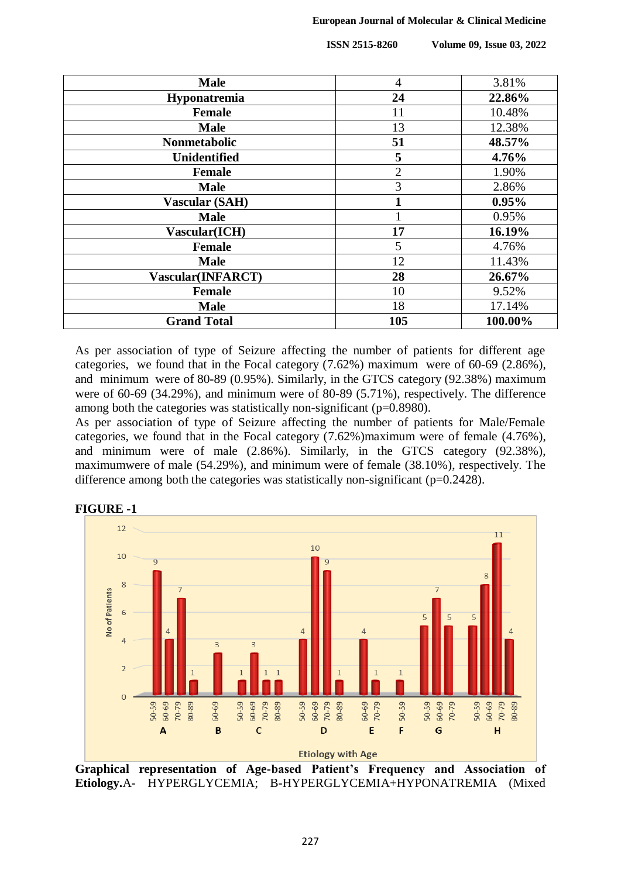**ISSN 2515-8260 Volume 09, Issue 03, 2022**

| <b>Male</b>           | $\overline{4}$ | 3.81%   |
|-----------------------|----------------|---------|
| Hyponatremia          | 24             | 22.86%  |
| <b>Female</b>         | 11             | 10.48%  |
| <b>Male</b>           | 13             | 12.38%  |
| <b>Nonmetabolic</b>   | 51             | 48.57%  |
| <b>Unidentified</b>   | 5              | 4.76%   |
| <b>Female</b>         | $\overline{2}$ | 1.90%   |
| <b>Male</b>           | 3              | 2.86%   |
| <b>Vascular (SAH)</b> |                | 0.95%   |
| <b>Male</b>           |                | 0.95%   |
| Vascular(ICH)         | 17             | 16.19%  |
| <b>Female</b>         | 5              | 4.76%   |
| <b>Male</b>           | 12             | 11.43%  |
| Vascular(INFARCT)     | 28             | 26.67%  |
| <b>Female</b>         | 10             | 9.52%   |
| <b>Male</b>           | 18             | 17.14%  |
| <b>Grand Total</b>    | 105            | 100.00% |

As per association of type of Seizure affecting the number of patients for different age categories, we found that in the Focal category (7.62%) maximum were of 60-69 (2.86%), and minimum were of 80-89 (0.95%). Similarly, in the GTCS category (92.38%) maximum were of 60-69 (34.29%), and minimum were of 80-89 (5.71%), respectively. The difference among both the categories was statistically non-significant (p=0.8980).

As per association of type of Seizure affecting the number of patients for Male/Female categories, we found that in the Focal category (7.62%)maximum were of female (4.76%), and minimum were of male (2.86%). Similarly, in the GTCS category (92.38%), maximumwere of male (54.29%), and minimum were of female (38.10%), respectively. The difference among both the categories was statistically non-significant ( $p=0.2428$ ).



**FIGURE -1**

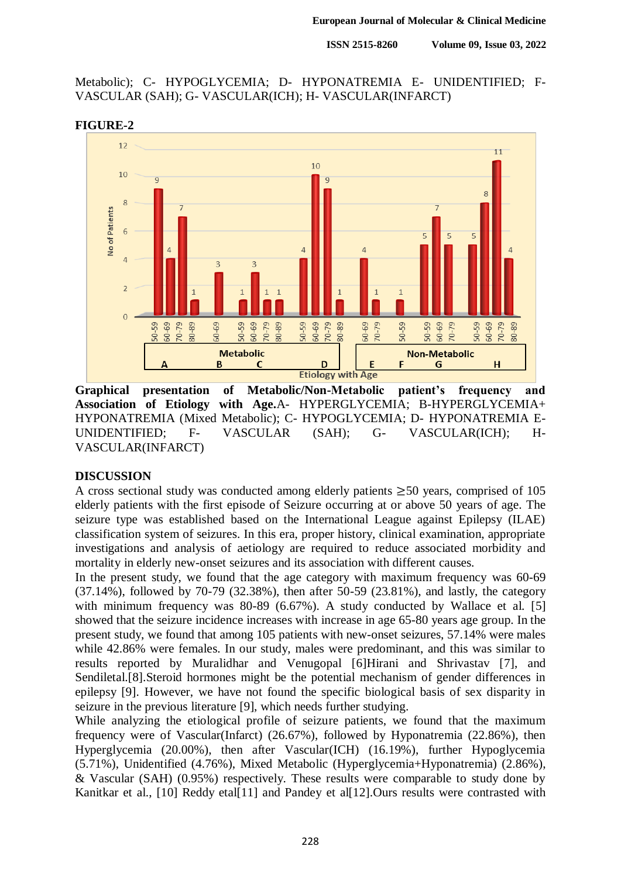**ISSN 2515-8260 Volume 09, Issue 03, 2022**

Metabolic); C- HYPOGLYCEMIA; D- HYPONATREMIA E- UNIDENTIFIED; F-VASCULAR (SAH); G- VASCULAR(ICH); H- VASCULAR(INFARCT)



#### **FIGURE-2**

**Graphical presentation of Metabolic/Non-Metabolic patient's frequency and Association of Etiology with Age.**A- HYPERGLYCEMIA; B-HYPERGLYCEMIA+ HYPONATREMIA (Mixed Metabolic); C- HYPOGLYCEMIA; D- HYPONATREMIA E-UNIDENTIFIED; F- VASCULAR (SAH); G- VASCULAR(ICH); H-VASCULAR(INFARCT)

#### **DISCUSSION**

A cross sectional study was conducted among elderly patients  $\geq 50$  years, comprised of 105 elderly patients with the first episode of Seizure occurring at or above 50 years of age. The seizure type was established based on the International League against Epilepsy (ILAE) classification system of seizures. In this era, proper history, clinical examination, appropriate investigations and analysis of aetiology are required to reduce associated morbidity and mortality in elderly new-onset seizures and its association with different causes.

In the present study, we found that the age category with maximum frequency was 60-69 (37.14%), followed by 70-79 (32.38%), then after 50-59 (23.81%), and lastly, the category with minimum frequency was 80-89 (6.67%). A study conducted by Wallace et al. [5] showed that the seizure incidence increases with increase in age 65-80 years age group. In the present study, we found that among 105 patients with new-onset seizures, 57.14% were males while 42.86% were females. In our study, males were predominant, and this was similar to results reported by Muralidhar and Venugopal [6]Hirani and Shrivastav [7], and Sendiletal.[8].Steroid hormones might be the potential mechanism of gender differences in epilepsy [9]. However, we have not found the specific biological basis of sex disparity in seizure in the previous literature [9], which needs further studying.

While analyzing the etiological profile of seizure patients, we found that the maximum frequency were of Vascular(Infarct) (26.67%), followed by Hyponatremia (22.86%), then Hyperglycemia (20.00%), then after Vascular(ICH) (16.19%), further Hypoglycemia (5.71%), Unidentified (4.76%), Mixed Metabolic (Hyperglycemia+Hyponatremia) (2.86%), & Vascular (SAH) (0.95%) respectively. These results were comparable to study done by Kanitkar et al., [10] Reddy etal[11] and Pandey et al[12]. Ours results were contrasted with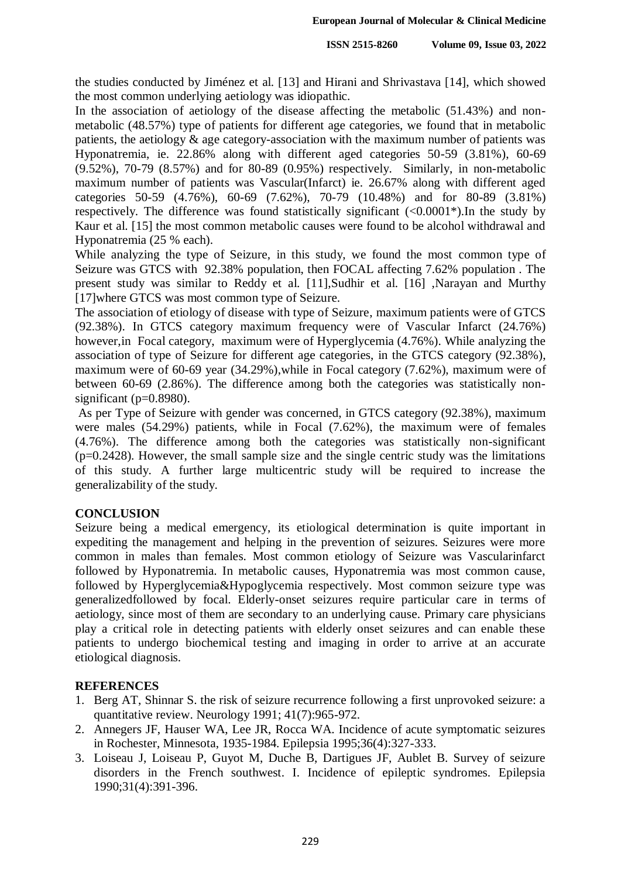the studies conducted by Jiménez et al. [13] and Hirani and Shrivastava [14], which showed the most common underlying aetiology was idiopathic.

In the association of aetiology of the disease affecting the metabolic (51.43%) and nonmetabolic (48.57%) type of patients for different age categories, we found that in metabolic patients, the aetiology & age category-association with the maximum number of patients was Hyponatremia, ie. 22.86% along with different aged categories 50-59 (3.81%), 60-69 (9.52%), 70-79 (8.57%) and for 80-89 (0.95%) respectively. Similarly, in non-metabolic maximum number of patients was Vascular(Infarct) ie. 26.67% along with different aged categories 50-59 (4.76%), 60-69 (7.62%), 70-79 (10.48%) and for 80-89 (3.81%) respectively. The difference was found statistically significant  $(<0.0001*)$ . In the study by Kaur et al. [15] the most common metabolic causes were found to be alcohol withdrawal and Hyponatremia (25 % each).

While analyzing the type of Seizure, in this study, we found the most common type of Seizure was GTCS with 92.38% population, then FOCAL affecting 7.62% population . The present study was similar to Reddy et al. [11],Sudhir et al. [16] ,Narayan and Murthy [17]where GTCS was most common type of Seizure.

The association of etiology of disease with type of Seizure, maximum patients were of GTCS (92.38%). In GTCS category maximum frequency were of Vascular Infarct (24.76%) however,in Focal category, maximum were of Hyperglycemia (4.76%). While analyzing the association of type of Seizure for different age categories, in the GTCS category (92.38%), maximum were of 60-69 year (34.29%),while in Focal category (7.62%), maximum were of between 60-69 (2.86%). The difference among both the categories was statistically nonsignificant ( $p=0.8980$ ).

As per Type of Seizure with gender was concerned, in GTCS category (92.38%), maximum were males (54.29%) patients, while in Focal (7.62%), the maximum were of females (4.76%). The difference among both the categories was statistically non-significant  $(p=0.2428)$ . However, the small sample size and the single centric study was the limitations of this study. A further large multicentric study will be required to increase the generalizability of the study.

## **CONCLUSION**

Seizure being a medical emergency, its etiological determination is quite important in expediting the management and helping in the prevention of seizures. Seizures were more common in males than females. Most common etiology of Seizure was Vascularinfarct followed by Hyponatremia. In metabolic causes, Hyponatremia was most common cause, followed by Hyperglycemia&Hypoglycemia respectively. Most common seizure type was generalizedfollowed by focal. Elderly-onset seizures require particular care in terms of aetiology, since most of them are secondary to an underlying cause. Primary care physicians play a critical role in detecting patients with elderly onset seizures and can enable these patients to undergo biochemical testing and imaging in order to arrive at an accurate etiological diagnosis.

## **REFERENCES**

- 1. Berg AT, Shinnar S. the risk of seizure recurrence following a first unprovoked seizure: a quantitative review. Neurology 1991; 41(7):965-972.
- 2. Annegers JF, Hauser WA, Lee JR, Rocca WA. Incidence of acute symptomatic seizures in Rochester, Minnesota, 1935-1984. Epilepsia 1995;36(4):327-333.
- 3. Loiseau J, Loiseau P, Guyot M, Duche B, Dartigues JF, Aublet B. Survey of seizure disorders in the French southwest. I. Incidence of epileptic syndromes. Epilepsia 1990;31(4):391-396.